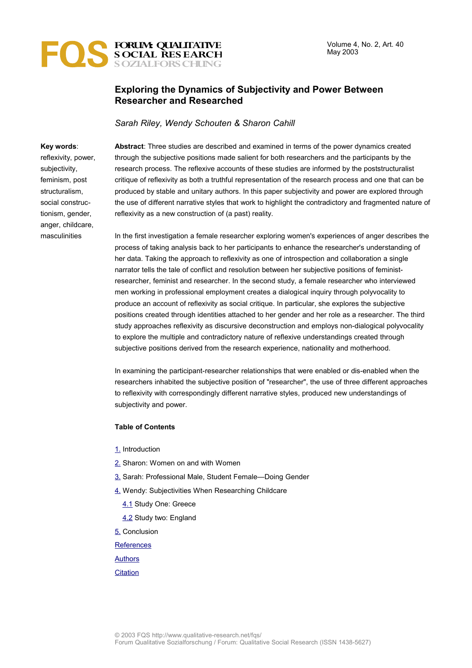

## **Exploring the Dynamics of Subjectivity and Power Between Researcher and Researched**

*Sarah Riley, Wendy Schouten & Sharon Cahill*

#### **Key words**:

reflexivity, power, subjectivity, feminism, post structuralism, social constructionism, gender, anger, childcare, masculinities

**Abstract**: Three studies are described and examined in terms of the power dynamics created through the subjective positions made salient for both researchers and the participants by the research process. The reflexive accounts of these studies are informed by the poststructuralist critique of reflexivity as both a truthful representation of the research process and one that can be produced by stable and unitary authors. In this paper subjectivity and power are explored through the use of different narrative styles that work to highlight the contradictory and fragmented nature of reflexivity as a new construction of (a past) reality.

In the first investigation a female researcher exploring women's experiences of anger describes the process of taking analysis back to her participants to enhance the researcher's understanding of her data. Taking the approach to reflexivity as one of introspection and collaboration a single narrator tells the tale of conflict and resolution between her subjective positions of feministresearcher, feminist and researcher. In the second study, a female researcher who interviewed men working in professional employment creates a dialogical inquiry through polyvocality to produce an account of reflexivity as social critique. In particular, she explores the subjective positions created through identities attached to her gender and her role as a researcher. The third study approaches reflexivity as discursive deconstruction and employs non-dialogical polyvocality to explore the multiple and contradictory nature of reflexive understandings created through subjective positions derived from the research experience, nationality and motherhood.

In examining the participant-researcher relationships that were enabled or dis-enabled when the researchers inhabited the subjective position of "researcher", the use of three different approaches to reflexivity with correspondingly different narrative styles, produced new understandings of subjectivity and power.

#### **Table of Contents**

- [1.](#page-1-0) Introduction
- [2.](#page-3-0) Sharon: Women on and with Women
- [3.](#page-7-0) Sarah: Professional Male, Student Female—Doing Gender
- [4.](#page-12-1) Wendy: Subjectivities When Researching Childcare
	- [4.1](#page-12-0) Study One: Greece
	- [4.2](#page-13-0) Study two: England

[5.](#page-14-0) Conclusion

**[References](#page-17-0)** 

[Authors](#page-18-1)

#### **[Citation](#page-18-0)**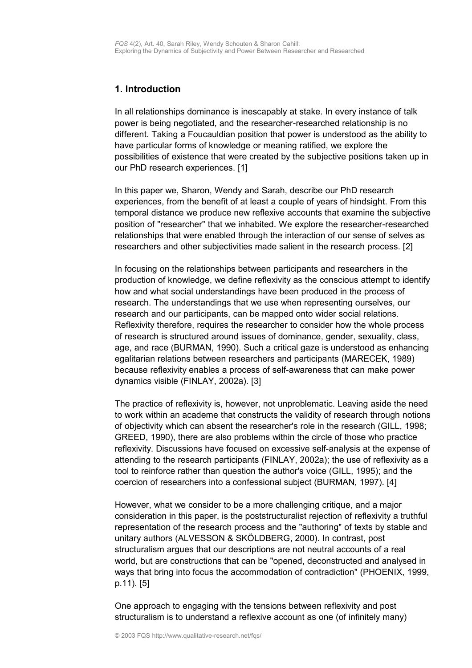## <span id="page-1-0"></span>**1. Introduction**

In all relationships dominance is inescapably at stake. In every instance of talk power is being negotiated, and the researcher-researched relationship is no different. Taking a Foucauldian position that power is understood as the ability to have particular forms of knowledge or meaning ratified, we explore the possibilities of existence that were created by the subjective positions taken up in our PhD research experiences. [1]

In this paper we, Sharon, Wendy and Sarah, describe our PhD research experiences, from the benefit of at least a couple of years of hindsight. From this temporal distance we produce new reflexive accounts that examine the subjective position of "researcher" that we inhabited. We explore the researcher-researched relationships that were enabled through the interaction of our sense of selves as researchers and other subjectivities made salient in the research process. [2]

In focusing on the relationships between participants and researchers in the production of knowledge, we define reflexivity as the conscious attempt to identify how and what social understandings have been produced in the process of research. The understandings that we use when representing ourselves, our research and our participants, can be mapped onto wider social relations. Reflexivity therefore, requires the researcher to consider how the whole process of research is structured around issues of dominance, gender, sexuality, class, age, and race (BURMAN, 1990). Such a critical gaze is understood as enhancing egalitarian relations between researchers and participants (MARECEK, 1989) because reflexivity enables a process of self-awareness that can make power dynamics visible (FINLAY, 2002a). [3]

The practice of reflexivity is, however, not unproblematic. Leaving aside the need to work within an academe that constructs the validity of research through notions of objectivity which can absent the researcher's role in the research (GILL, 1998; GREED, 1990), there are also problems within the circle of those who practice reflexivity. Discussions have focused on excessive self-analysis at the expense of attending to the research participants (FINLAY, 2002a); the use of reflexivity as a tool to reinforce rather than question the author's voice (GILL, 1995); and the coercion of researchers into a confessional subject (BURMAN, 1997). [4]

However, what we consider to be a more challenging critique, and a major consideration in this paper, is the poststructuralist rejection of reflexivity a truthful representation of the research process and the "authoring" of texts by stable and unitary authors (ALVESSON & SKÖLDBERG, 2000). In contrast, post structuralism argues that our descriptions are not neutral accounts of a real world, but are constructions that can be "opened, deconstructed and analysed in ways that bring into focus the accommodation of contradiction" (PHOENIX, 1999, p.11). [5]

One approach to engaging with the tensions between reflexivity and post structuralism is to understand a reflexive account as one (of infinitely many)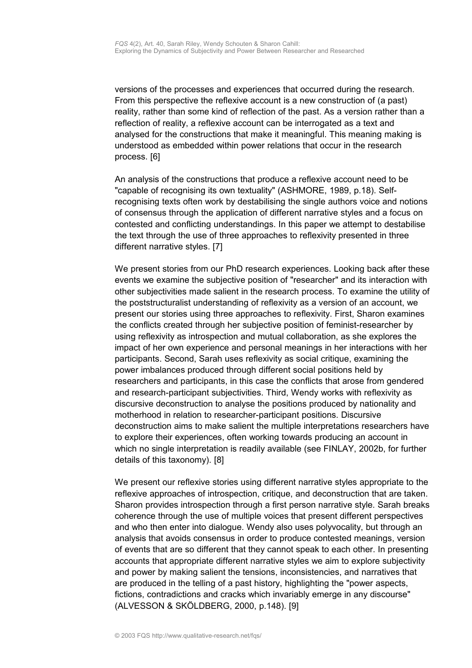versions of the processes and experiences that occurred during the research. From this perspective the reflexive account is a new construction of (a past) reality, rather than some kind of reflection of the past. As a version rather than a reflection of reality, a reflexive account can be interrogated as a text and analysed for the constructions that make it meaningful. This meaning making is understood as embedded within power relations that occur in the research process. [6]

An analysis of the constructions that produce a reflexive account need to be "capable of recognising its own textuality" (ASHMORE, 1989, p.18). Selfrecognising texts often work by destabilising the single authors voice and notions of consensus through the application of different narrative styles and a focus on contested and conflicting understandings. In this paper we attempt to destabilise the text through the use of three approaches to reflexivity presented in three different narrative styles. [7]

We present stories from our PhD research experiences. Looking back after these events we examine the subjective position of "researcher" and its interaction with other subjectivities made salient in the research process. To examine the utility of the poststructuralist understanding of reflexivity as a version of an account, we present our stories using three approaches to reflexivity. First, Sharon examines the conflicts created through her subjective position of feminist-researcher by using reflexivity as introspection and mutual collaboration, as she explores the impact of her own experience and personal meanings in her interactions with her participants. Second, Sarah uses reflexivity as social critique, examining the power imbalances produced through different social positions held by researchers and participants, in this case the conflicts that arose from gendered and research-participant subjectivities. Third, Wendy works with reflexivity as discursive deconstruction to analyse the positions produced by nationality and motherhood in relation to researcher-participant positions. Discursive deconstruction aims to make salient the multiple interpretations researchers have to explore their experiences, often working towards producing an account in which no single interpretation is readily available (see FINLAY, 2002b, for further details of this taxonomy). [8]

We present our reflexive stories using different narrative styles appropriate to the reflexive approaches of introspection, critique, and deconstruction that are taken. Sharon provides introspection through a first person narrative style. Sarah breaks coherence through the use of multiple voices that present different perspectives and who then enter into dialogue. Wendy also uses polyvocality, but through an analysis that avoids consensus in order to produce contested meanings, version of events that are so different that they cannot speak to each other. In presenting accounts that appropriate different narrative styles we aim to explore subjectivity and power by making salient the tensions, inconsistencies, and narratives that are produced in the telling of a past history, highlighting the "power aspects, fictions, contradictions and cracks which invariably emerge in any discourse" (ALVESSON & SKÖLDBERG, 2000, p.148). [9]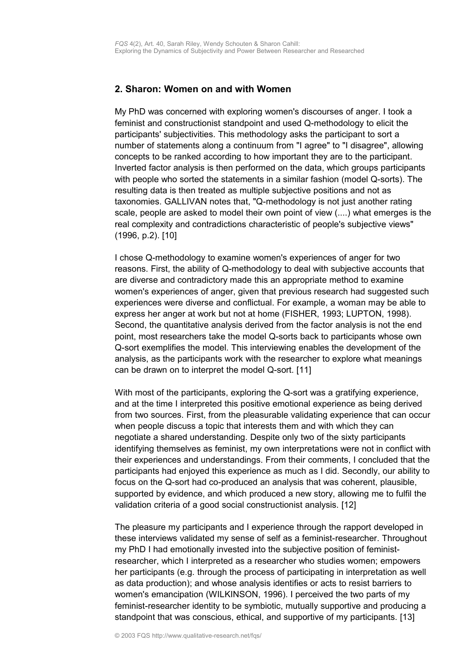## <span id="page-3-0"></span>**2. Sharon: Women on and with Women**

My PhD was concerned with exploring women's discourses of anger. I took a feminist and constructionist standpoint and used Q-methodology to elicit the participants' subjectivities. This methodology asks the participant to sort a number of statements along a continuum from "I agree" to "I disagree", allowing concepts to be ranked according to how important they are to the participant. Inverted factor analysis is then performed on the data, which groups participants with people who sorted the statements in a similar fashion (model Q-sorts). The resulting data is then treated as multiple subjective positions and not as taxonomies. GALLIVAN notes that, "Q-methodology is not just another rating scale, people are asked to model their own point of view (....) what emerges is the real complexity and contradictions characteristic of people's subjective views" (1996, p.2). [10]

I chose Q-methodology to examine women's experiences of anger for two reasons. First, the ability of Q-methodology to deal with subjective accounts that are diverse and contradictory made this an appropriate method to examine women's experiences of anger, given that previous research had suggested such experiences were diverse and conflictual. For example, a woman may be able to express her anger at work but not at home (FISHER, 1993; LUPTON, 1998). Second, the quantitative analysis derived from the factor analysis is not the end point, most researchers take the model Q-sorts back to participants whose own Q-sort exemplifies the model. This interviewing enables the development of the analysis, as the participants work with the researcher to explore what meanings can be drawn on to interpret the model Q-sort. [11]

With most of the participants, exploring the Q-sort was a gratifying experience, and at the time I interpreted this positive emotional experience as being derived from two sources. First, from the pleasurable validating experience that can occur when people discuss a topic that interests them and with which they can negotiate a shared understanding. Despite only two of the sixty participants identifying themselves as feminist, my own interpretations were not in conflict with their experiences and understandings. From their comments, I concluded that the participants had enjoyed this experience as much as I did. Secondly, our ability to focus on the Q-sort had co-produced an analysis that was coherent, plausible, supported by evidence, and which produced a new story, allowing me to fulfil the validation criteria of a good social constructionist analysis. [12]

The pleasure my participants and I experience through the rapport developed in these interviews validated my sense of self as a feminist-researcher. Throughout my PhD I had emotionally invested into the subjective position of feministresearcher, which I interpreted as a researcher who studies women; empowers her participants (e.g. through the process of participating in interpretation as well as data production); and whose analysis identifies or acts to resist barriers to women's emancipation (WILKINSON, 1996). I perceived the two parts of my feminist-researcher identity to be symbiotic, mutually supportive and producing a standpoint that was conscious, ethical, and supportive of my participants. [13]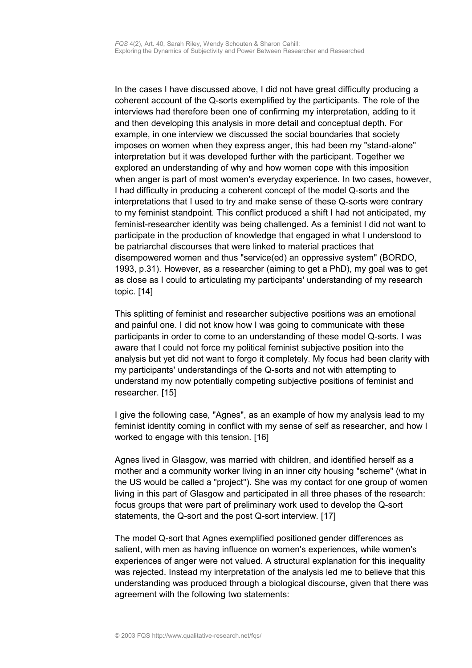In the cases I have discussed above, I did not have great difficulty producing a coherent account of the Q-sorts exemplified by the participants. The role of the interviews had therefore been one of confirming my interpretation, adding to it and then developing this analysis in more detail and conceptual depth. For example, in one interview we discussed the social boundaries that society imposes on women when they express anger, this had been my "stand-alone" interpretation but it was developed further with the participant. Together we explored an understanding of why and how women cope with this imposition when anger is part of most women's everyday experience. In two cases, however, I had difficulty in producing a coherent concept of the model Q-sorts and the interpretations that I used to try and make sense of these Q-sorts were contrary to my feminist standpoint. This conflict produced a shift I had not anticipated, my feminist-researcher identity was being challenged. As a feminist I did not want to participate in the production of knowledge that engaged in what I understood to be patriarchal discourses that were linked to material practices that disempowered women and thus "service(ed) an oppressive system" (BORDO, 1993, p.31). However, as a researcher (aiming to get a PhD), my goal was to get as close as I could to articulating my participants' understanding of my research topic. [14]

This splitting of feminist and researcher subjective positions was an emotional and painful one. I did not know how I was going to communicate with these participants in order to come to an understanding of these model Q-sorts. I was aware that I could not force my political feminist subjective position into the analysis but yet did not want to forgo it completely. My focus had been clarity with my participants' understandings of the Q-sorts and not with attempting to understand my now potentially competing subjective positions of feminist and researcher. [15]

I give the following case, "Agnes", as an example of how my analysis lead to my feminist identity coming in conflict with my sense of self as researcher, and how I worked to engage with this tension. [16]

Agnes lived in Glasgow, was married with children, and identified herself as a mother and a community worker living in an inner city housing "scheme" (what in the US would be called a "project"). She was my contact for one group of women living in this part of Glasgow and participated in all three phases of the research: focus groups that were part of preliminary work used to develop the Q-sort statements, the Q-sort and the post Q-sort interview. [17]

The model Q-sort that Agnes exemplified positioned gender differences as salient, with men as having influence on women's experiences, while women's experiences of anger were not valued. A structural explanation for this inequality was rejected. Instead my interpretation of the analysis led me to believe that this understanding was produced through a biological discourse, given that there was agreement with the following two statements: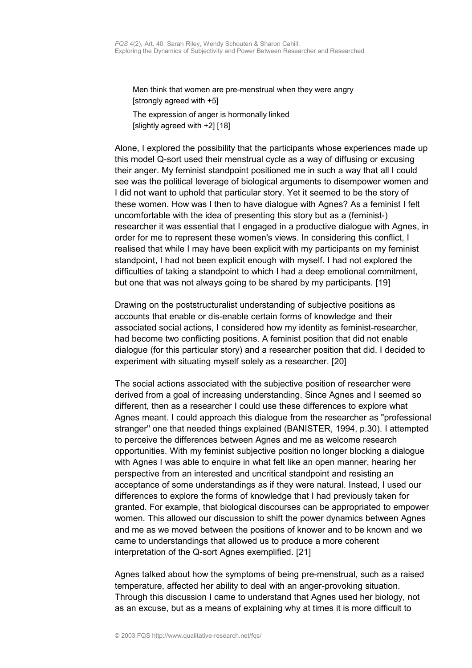Men think that women are pre-menstrual when they were angry [strongly agreed with +5]

The expression of anger is hormonally linked [slightly agreed with +2] [18]

Alone, I explored the possibility that the participants whose experiences made up this model Q-sort used their menstrual cycle as a way of diffusing or excusing their anger. My feminist standpoint positioned me in such a way that all I could see was the political leverage of biological arguments to disempower women and I did not want to uphold that particular story. Yet it seemed to be the story of these women. How was I then to have dialogue with Agnes? As a feminist I felt uncomfortable with the idea of presenting this story but as a (feminist-) researcher it was essential that I engaged in a productive dialogue with Agnes, in order for me to represent these women's views. In considering this conflict, I realised that while I may have been explicit with my participants on my feminist standpoint, I had not been explicit enough with myself. I had not explored the difficulties of taking a standpoint to which I had a deep emotional commitment, but one that was not always going to be shared by my participants. [19]

Drawing on the poststructuralist understanding of subjective positions as accounts that enable or dis-enable certain forms of knowledge and their associated social actions, I considered how my identity as feminist-researcher, had become two conflicting positions. A feminist position that did not enable dialogue (for this particular story) and a researcher position that did. I decided to experiment with situating myself solely as a researcher. [20]

The social actions associated with the subjective position of researcher were derived from a goal of increasing understanding. Since Agnes and I seemed so different, then as a researcher I could use these differences to explore what Agnes meant. I could approach this dialogue from the researcher as "professional stranger" one that needed things explained (BANISTER, 1994, p.30). I attempted to perceive the differences between Agnes and me as welcome research opportunities. With my feminist subjective position no longer blocking a dialogue with Agnes I was able to enquire in what felt like an open manner, hearing her perspective from an interested and uncritical standpoint and resisting an acceptance of some understandings as if they were natural. Instead, I used our differences to explore the forms of knowledge that I had previously taken for granted. For example, that biological discourses can be appropriated to empower women. This allowed our discussion to shift the power dynamics between Agnes and me as we moved between the positions of knower and to be known and we came to understandings that allowed us to produce a more coherent interpretation of the Q-sort Agnes exemplified. [21]

Agnes talked about how the symptoms of being pre-menstrual, such as a raised temperature, affected her ability to deal with an anger-provoking situation. Through this discussion I came to understand that Agnes used her biology, not as an excuse, but as a means of explaining why at times it is more difficult to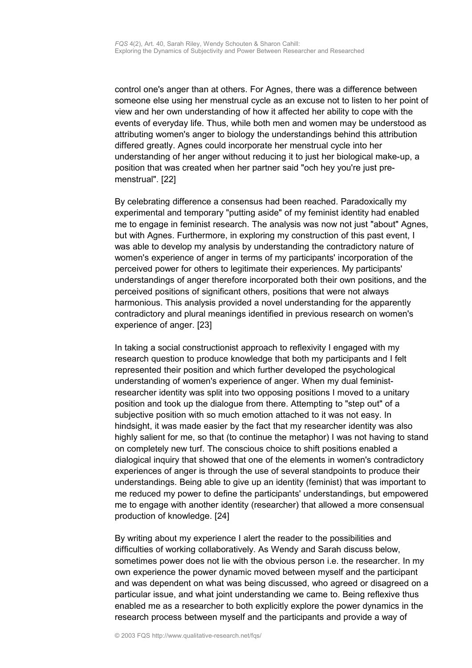control one's anger than at others. For Agnes, there was a difference between someone else using her menstrual cycle as an excuse not to listen to her point of view and her own understanding of how it affected her ability to cope with the events of everyday life. Thus, while both men and women may be understood as attributing women's anger to biology the understandings behind this attribution differed greatly. Agnes could incorporate her menstrual cycle into her understanding of her anger without reducing it to just her biological make-up, a position that was created when her partner said "och hey you're just premenstrual". [22]

By celebrating difference a consensus had been reached. Paradoxically my experimental and temporary "putting aside" of my feminist identity had enabled me to engage in feminist research. The analysis was now not just "about" Agnes, but with Agnes. Furthermore, in exploring my construction of this past event, I was able to develop my analysis by understanding the contradictory nature of women's experience of anger in terms of my participants' incorporation of the perceived power for others to legitimate their experiences. My participants' understandings of anger therefore incorporated both their own positions, and the perceived positions of significant others, positions that were not always harmonious. This analysis provided a novel understanding for the apparently contradictory and plural meanings identified in previous research on women's experience of anger. [23]

In taking a social constructionist approach to reflexivity I engaged with my research question to produce knowledge that both my participants and I felt represented their position and which further developed the psychological understanding of women's experience of anger. When my dual feministresearcher identity was split into two opposing positions I moved to a unitary position and took up the dialogue from there. Attempting to "step out" of a subjective position with so much emotion attached to it was not easy. In hindsight, it was made easier by the fact that my researcher identity was also highly salient for me, so that (to continue the metaphor) I was not having to stand on completely new turf. The conscious choice to shift positions enabled a dialogical inquiry that showed that one of the elements in women's contradictory experiences of anger is through the use of several standpoints to produce their understandings. Being able to give up an identity (feminist) that was important to me reduced my power to define the participants' understandings, but empowered me to engage with another identity (researcher) that allowed a more consensual production of knowledge. [24]

By writing about my experience I alert the reader to the possibilities and difficulties of working collaboratively. As Wendy and Sarah discuss below, sometimes power does not lie with the obvious person i.e. the researcher. In my own experience the power dynamic moved between myself and the participant and was dependent on what was being discussed, who agreed or disagreed on a particular issue, and what joint understanding we came to. Being reflexive thus enabled me as a researcher to both explicitly explore the power dynamics in the research process between myself and the participants and provide a way of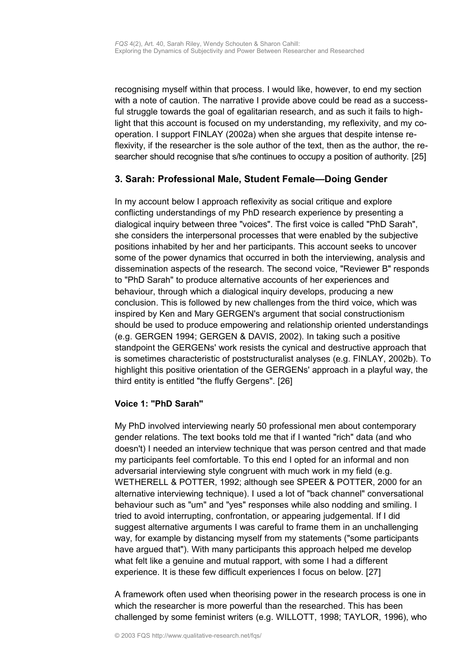recognising myself within that process. I would like, however, to end my section with a note of caution. The narrative I provide above could be read as a successful struggle towards the goal of egalitarian research, and as such it fails to highlight that this account is focused on my understanding, my reflexivity, and my cooperation. I support FINLAY (2002a) when she argues that despite intense reflexivity, if the researcher is the sole author of the text, then as the author, the researcher should recognise that s/he continues to occupy a position of authority. [25]

## <span id="page-7-0"></span>**3. Sarah: Professional Male, Student Female—Doing Gender**

In my account below I approach reflexivity as social critique and explore conflicting understandings of my PhD research experience by presenting a dialogical inquiry between three "voices". The first voice is called "PhD Sarah", she considers the interpersonal processes that were enabled by the subjective positions inhabited by her and her participants. This account seeks to uncover some of the power dynamics that occurred in both the interviewing, analysis and dissemination aspects of the research. The second voice, "Reviewer B" responds to "PhD Sarah" to produce alternative accounts of her experiences and behaviour, through which a dialogical inquiry develops, producing a new conclusion. This is followed by new challenges from the third voice, which was inspired by Ken and Mary GERGEN's argument that social constructionism should be used to produce empowering and relationship oriented understandings (e.g. GERGEN 1994; GERGEN & DAVIS, 2002). In taking such a positive standpoint the GERGENs' work resists the cynical and destructive approach that is sometimes characteristic of poststructuralist analyses (e.g. FINLAY, 2002b). To highlight this positive orientation of the GERGENs' approach in a playful way, the third entity is entitled "the fluffy Gergens". [26]

## **Voice 1: "PhD Sarah"**

My PhD involved interviewing nearly 50 professional men about contemporary gender relations. The text books told me that if I wanted "rich" data (and who doesn't) I needed an interview technique that was person centred and that made my participants feel comfortable. To this end I opted for an informal and non adversarial interviewing style congruent with much work in my field (e.g. WETHERELL & POTTER, 1992; although see SPEER & POTTER, 2000 for an alternative interviewing technique). I used a lot of "back channel" conversational behaviour such as "um" and "yes" responses while also nodding and smiling. I tried to avoid interrupting, confrontation, or appearing judgemental. If I did suggest alternative arguments I was careful to frame them in an unchallenging way, for example by distancing myself from my statements ("some participants have argued that"). With many participants this approach helped me develop what felt like a genuine and mutual rapport, with some I had a different experience. It is these few difficult experiences I focus on below. [27]

A framework often used when theorising power in the research process is one in which the researcher is more powerful than the researched. This has been challenged by some feminist writers (e.g. WILLOTT, 1998; TAYLOR, 1996), who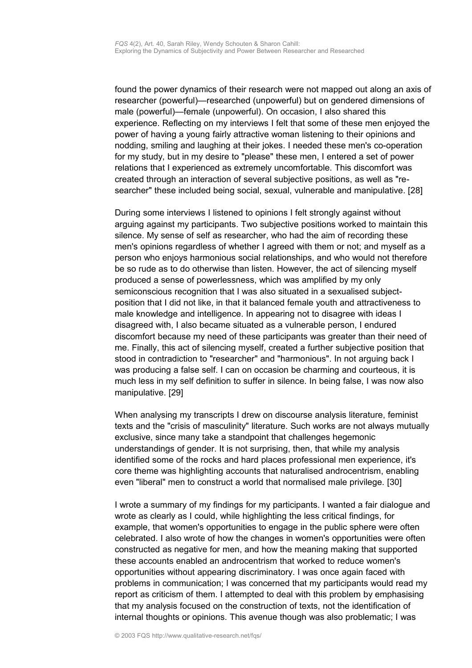found the power dynamics of their research were not mapped out along an axis of researcher (powerful)—researched (unpowerful) but on gendered dimensions of male (powerful)—female (unpowerful). On occasion, I also shared this experience. Reflecting on my interviews I felt that some of these men enjoyed the power of having a young fairly attractive woman listening to their opinions and nodding, smiling and laughing at their jokes. I needed these men's co-operation for my study, but in my desire to "please" these men, I entered a set of power relations that I experienced as extremely uncomfortable. This discomfort was created through an interaction of several subjective positions, as well as "researcher" these included being social, sexual, vulnerable and manipulative. [28]

During some interviews I listened to opinions I felt strongly against without arguing against my participants. Two subjective positions worked to maintain this silence. My sense of self as researcher, who had the aim of recording these men's opinions regardless of whether I agreed with them or not; and myself as a person who enjoys harmonious social relationships, and who would not therefore be so rude as to do otherwise than listen. However, the act of silencing myself produced a sense of powerlessness, which was amplified by my only semiconscious recognition that I was also situated in a sexualised subjectposition that I did not like, in that it balanced female youth and attractiveness to male knowledge and intelligence. In appearing not to disagree with ideas I disagreed with, I also became situated as a vulnerable person, I endured discomfort because my need of these participants was greater than their need of me. Finally, this act of silencing myself, created a further subjective position that stood in contradiction to "researcher" and "harmonious". In not arguing back I was producing a false self. I can on occasion be charming and courteous, it is much less in my self definition to suffer in silence. In being false, I was now also manipulative. [29]

When analysing my transcripts I drew on discourse analysis literature, feminist texts and the "crisis of masculinity" literature. Such works are not always mutually exclusive, since many take a standpoint that challenges hegemonic understandings of gender. It is not surprising, then, that while my analysis identified some of the rocks and hard places professional men experience, it's core theme was highlighting accounts that naturalised androcentrism, enabling even "liberal" men to construct a world that normalised male privilege. [30]

I wrote a summary of my findings for my participants. I wanted a fair dialogue and wrote as clearly as I could, while highlighting the less critical findings, for example, that women's opportunities to engage in the public sphere were often celebrated. I also wrote of how the changes in women's opportunities were often constructed as negative for men, and how the meaning making that supported these accounts enabled an androcentrism that worked to reduce women's opportunities without appearing discriminatory. I was once again faced with problems in communication; I was concerned that my participants would read my report as criticism of them. I attempted to deal with this problem by emphasising that my analysis focused on the construction of texts, not the identification of internal thoughts or opinions. This avenue though was also problematic; I was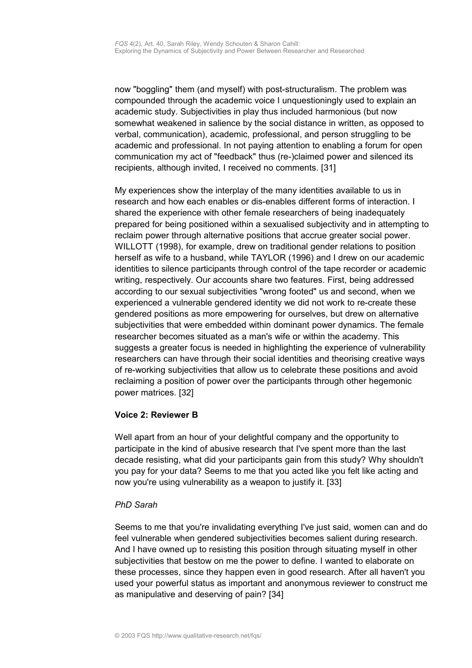now "boggling" them (and myself) with post-structuralism. The problem was compounded through the academic voice I unquestioningly used to explain an academic study. Subjectivities in play thus included harmonious (but now somewhat weakened in salience by the social distance in written, as opposed to verbal, communication), academic, professional, and person struggling to be academic and professional. In not paying attention to enabling a forum for open communication my act of "feedback" thus (re-)claimed power and silenced its recipients, although invited, I received no comments. [31]

My experiences show the interplay of the many identities available to us in research and how each enables or dis-enables different forms of interaction. I shared the experience with other female researchers of being inadequately prepared for being positioned within a sexualised subjectivity and in attempting to reclaim power through alternative positions that accrue greater social power. WILLOTT (1998), for example, drew on traditional gender relations to position herself as wife to a husband, while TAYLOR (1996) and I drew on our academic identities to silence participants through control of the tape recorder or academic writing, respectively. Our accounts share two features. First, being addressed according to our sexual subjectivities "wrong footed" us and second, when we experienced a vulnerable gendered identity we did not work to re-create these gendered positions as more empowering for ourselves, but drew on alternative subjectivities that were embedded within dominant power dynamics. The female researcher becomes situated as a man's wife or within the academy. This suggests a greater focus is needed in highlighting the experience of vulnerability researchers can have through their social identities and theorising creative ways of re-working subjectivities that allow us to celebrate these positions and avoid reclaiming a position of power over the participants through other hegemonic power matrices. [32]

## **Voice 2: Reviewer B**

Well apart from an hour of your delightful company and the opportunity to participate in the kind of abusive research that I've spent more than the last decade resisting, what did your participants gain from this study? Why shouldn't you pay for your data? Seems to me that you acted like you felt like acting and now you're using vulnerability as a weapon to justify it. [33]

### *PhD Sarah*

Seems to me that you're invalidating everything I've just said, women can and do feel vulnerable when gendered subjectivities becomes salient during research. And I have owned up to resisting this position through situating myself in other subjectivities that bestow on me the power to define. I wanted to elaborate on these processes, since they happen even in good research. After all haven't you used your powerful status as important and anonymous reviewer to construct me as manipulative and deserving of pain? [34]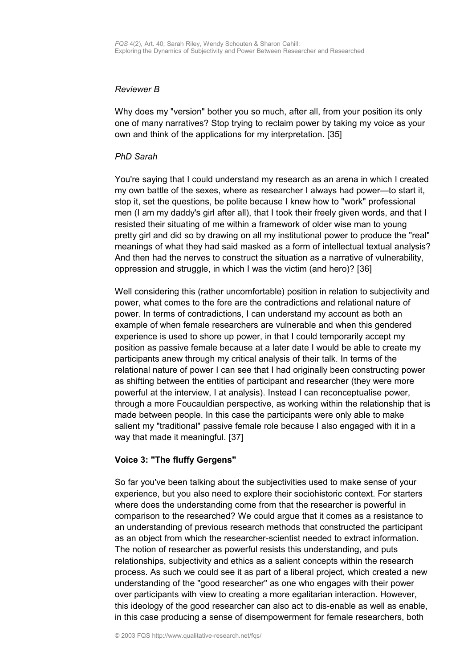#### *Reviewer B*

Why does my "version" bother you so much, after all, from your position its only one of many narratives? Stop trying to reclaim power by taking my voice as your own and think of the applications for my interpretation. [35]

#### *PhD Sarah*

You're saying that I could understand my research as an arena in which I created my own battle of the sexes, where as researcher I always had power—to start it, stop it, set the questions, be polite because I knew how to "work" professional men (I am my daddy's girl after all), that I took their freely given words, and that I resisted their situating of me within a framework of older wise man to young pretty girl and did so by drawing on all my institutional power to produce the "real" meanings of what they had said masked as a form of intellectual textual analysis? And then had the nerves to construct the situation as a narrative of vulnerability, oppression and struggle, in which I was the victim (and hero)? [36]

Well considering this (rather uncomfortable) position in relation to subjectivity and power, what comes to the fore are the contradictions and relational nature of power. In terms of contradictions, I can understand my account as both an example of when female researchers are vulnerable and when this gendered experience is used to shore up power, in that I could temporarily accept my position as passive female because at a later date I would be able to create my participants anew through my critical analysis of their talk. In terms of the relational nature of power I can see that I had originally been constructing power as shifting between the entities of participant and researcher (they were more powerful at the interview, I at analysis). Instead I can reconceptualise power, through a more Foucauldian perspective, as working within the relationship that is made between people. In this case the participants were only able to make salient my "traditional" passive female role because I also engaged with it in a way that made it meaningful. [37]

### **Voice 3: "The fluffy Gergens"**

So far you've been talking about the subjectivities used to make sense of your experience, but you also need to explore their sociohistoric context. For starters where does the understanding come from that the researcher is powerful in comparison to the researched? We could argue that it comes as a resistance to an understanding of previous research methods that constructed the participant as an object from which the researcher-scientist needed to extract information. The notion of researcher as powerful resists this understanding, and puts relationships, subjectivity and ethics as a salient concepts within the research process. As such we could see it as part of a liberal project, which created a new understanding of the "good researcher" as one who engages with their power over participants with view to creating a more egalitarian interaction. However, this ideology of the good researcher can also act to dis-enable as well as enable, in this case producing a sense of disempowerment for female researchers, both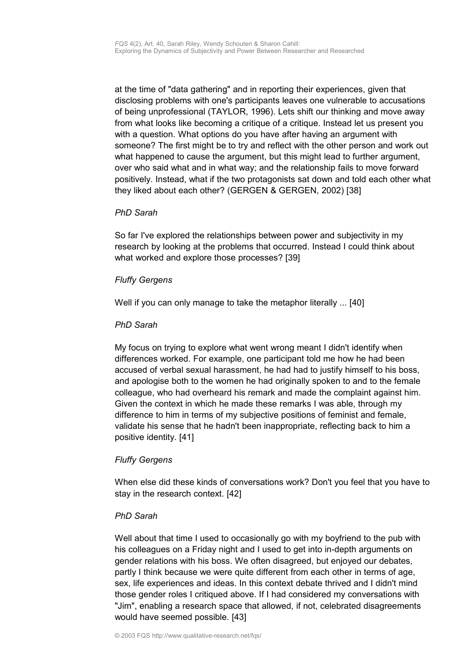at the time of "data gathering" and in reporting their experiences, given that disclosing problems with one's participants leaves one vulnerable to accusations of being unprofessional (TAYLOR, 1996). Lets shift our thinking and move away from what looks like becoming a critique of a critique. Instead let us present you with a question. What options do you have after having an argument with someone? The first might be to try and reflect with the other person and work out what happened to cause the argument, but this might lead to further argument, over who said what and in what way; and the relationship fails to move forward positively. Instead, what if the two protagonists sat down and told each other what they liked about each other? (GERGEN & GERGEN, 2002) [38]

### *PhD Sarah*

So far I've explored the relationships between power and subjectivity in my research by looking at the problems that occurred. Instead I could think about what worked and explore those processes? [39]

## *Fluffy Gergens*

Well if you can only manage to take the metaphor literally ... [40]

## *PhD Sarah*

My focus on trying to explore what went wrong meant I didn't identify when differences worked. For example, one participant told me how he had been accused of verbal sexual harassment, he had had to justify himself to his boss, and apologise both to the women he had originally spoken to and to the female colleague, who had overheard his remark and made the complaint against him. Given the context in which he made these remarks I was able, through my difference to him in terms of my subjective positions of feminist and female, validate his sense that he hadn't been inappropriate, reflecting back to him a positive identity. [41]

## *Fluffy Gergens*

When else did these kinds of conversations work? Don't you feel that you have to stay in the research context. [42]

### *PhD Sarah*

Well about that time I used to occasionally go with my boyfriend to the pub with his colleagues on a Friday night and I used to get into in-depth arguments on gender relations with his boss. We often disagreed, but enjoyed our debates, partly I think because we were quite different from each other in terms of age, sex, life experiences and ideas. In this context debate thrived and I didn't mind those gender roles I critiqued above. If I had considered my conversations with "Jim", enabling a research space that allowed, if not, celebrated disagreements would have seemed possible. [43]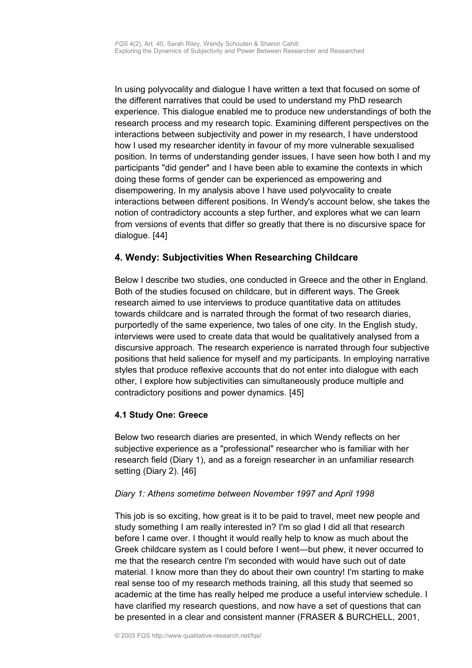In using polyvocality and dialogue I have written a text that focused on some of the different narratives that could be used to understand my PhD research experience. This dialogue enabled me to produce new understandings of both the research process and my research topic. Examining different perspectives on the interactions between subjectivity and power in my research, I have understood how I used my researcher identity in favour of my more vulnerable sexualised position. In terms of understanding gender issues, I have seen how both I and my participants "did gender" and I have been able to examine the contexts in which doing these forms of gender can be experienced as empowering and disempowering. In my analysis above I have used polyvocality to create interactions between different positions. In Wendy's account below, she takes the notion of contradictory accounts a step further, and explores what we can learn from versions of events that differ so greatly that there is no discursive space for dialogue. [44]

# <span id="page-12-1"></span>**4. Wendy: Subjectivities When Researching Childcare**

Below I describe two studies, one conducted in Greece and the other in England. Both of the studies focused on childcare, but in different ways. The Greek research aimed to use interviews to produce quantitative data on attitudes towards childcare and is narrated through the format of two research diaries, purportedly of the same experience, two tales of one city. In the English study, interviews were used to create data that would be qualitatively analysed from a discursive approach. The research experience is narrated through four subjective positions that held salience for myself and my participants. In employing narrative styles that produce reflexive accounts that do not enter into dialogue with each other, I explore how subjectivities can simultaneously produce multiple and contradictory positions and power dynamics. [45]

# <span id="page-12-0"></span>**4.1 Study One: Greece**

Below two research diaries are presented, in which Wendy reflects on her subjective experience as a "professional" researcher who is familiar with her research field (Diary 1), and as a foreign researcher in an unfamiliar research setting (Diary 2). [46]

## *Diary 1: Athens sometime between November 1997 and April 1998*

This job is so exciting, how great is it to be paid to travel, meet new people and study something I am really interested in? I'm so glad I did all that research before I came over. I thought it would really help to know as much about the Greek childcare system as I could before I went—but phew, it never occurred to me that the research centre I'm seconded with would have such out of date material. I know more than they do about their own country! I'm starting to make real sense too of my research methods training, all this study that seemed so academic at the time has really helped me produce a useful interview schedule. I have clarified my research questions, and now have a set of questions that can be presented in a clear and consistent manner (FRASER & BURCHELL, 2001,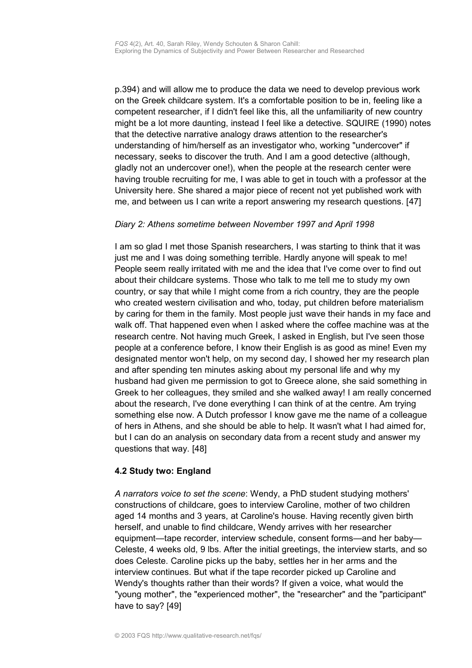p.394) and will allow me to produce the data we need to develop previous work on the Greek childcare system. It's a comfortable position to be in, feeling like a competent researcher, if I didn't feel like this, all the unfamiliarity of new country might be a lot more daunting, instead I feel like a detective. SQUIRE (1990) notes that the detective narrative analogy draws attention to the researcher's understanding of him/herself as an investigator who, working "undercover" if necessary, seeks to discover the truth. And I am a good detective (although, gladly not an undercover one!), when the people at the research center were having trouble recruiting for me, I was able to get in touch with a professor at the University here. She shared a major piece of recent not yet published work with me, and between us I can write a report answering my research questions. [47]

## *Diary 2: Athens sometime between November 1997 and April 1998*

I am so glad I met those Spanish researchers, I was starting to think that it was just me and I was doing something terrible. Hardly anyone will speak to me! People seem really irritated with me and the idea that I've come over to find out about their childcare systems. Those who talk to me tell me to study my own country, or say that while I might come from a rich country, they are the people who created western civilisation and who, today, put children before materialism by caring for them in the family. Most people just wave their hands in my face and walk off. That happened even when I asked where the coffee machine was at the research centre. Not having much Greek, I asked in English, but I've seen those people at a conference before, I know their English is as good as mine! Even my designated mentor won't help, on my second day, I showed her my research plan and after spending ten minutes asking about my personal life and why my husband had given me permission to got to Greece alone, she said something in Greek to her colleagues, they smiled and she walked away! I am really concerned about the research, I've done everything I can think of at the centre. Am trying something else now. A Dutch professor I know gave me the name of a colleague of hers in Athens, and she should be able to help. It wasn't what I had aimed for, but I can do an analysis on secondary data from a recent study and answer my questions that way. [48]

### <span id="page-13-0"></span>**4.2 Study two: England**

*A narrators voice to set the scene*: Wendy, a PhD student studying mothers' constructions of childcare, goes to interview Caroline, mother of two children aged 14 months and 3 years, at Caroline's house. Having recently given birth herself, and unable to find childcare, Wendy arrives with her researcher equipment—tape recorder, interview schedule, consent forms—and her baby— Celeste, 4 weeks old, 9 lbs. After the initial greetings, the interview starts, and so does Celeste. Caroline picks up the baby, settles her in her arms and the interview continues. But what if the tape recorder picked up Caroline and Wendy's thoughts rather than their words? If given a voice, what would the "young mother", the "experienced mother", the "researcher" and the "participant" have to say? [49]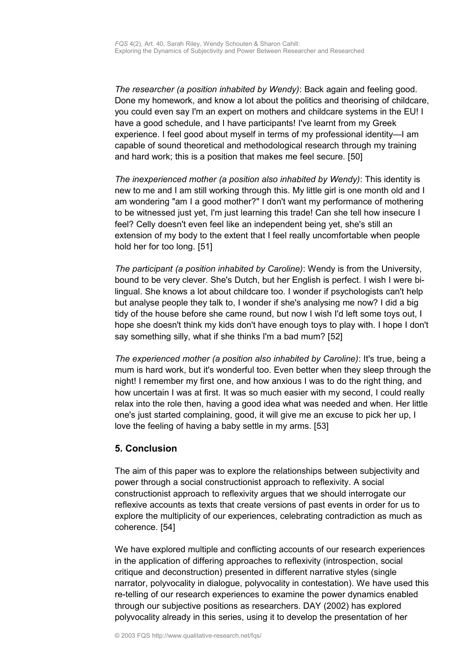*The researcher (a position inhabited by Wendy)*: Back again and feeling good. Done my homework, and know a lot about the politics and theorising of childcare, you could even say I'm an expert on mothers and childcare systems in the EU! I have a good schedule, and I have participants! I've learnt from my Greek experience. I feel good about myself in terms of my professional identity—I am capable of sound theoretical and methodological research through my training and hard work; this is a position that makes me feel secure. [50]

*The inexperienced mother (a position also inhabited by Wendy)*: This identity is new to me and I am still working through this. My little girl is one month old and I am wondering "am I a good mother?" I don't want my performance of mothering to be witnessed just yet, I'm just learning this trade! Can she tell how insecure I feel? Celly doesn't even feel like an independent being yet, she's still an extension of my body to the extent that I feel really uncomfortable when people hold her for too long. [51]

*The participant (a position inhabited by Caroline)*: Wendy is from the University, bound to be very clever. She's Dutch, but her English is perfect. I wish I were bilingual. She knows a lot about childcare too. I wonder if psychologists can't help but analyse people they talk to, I wonder if she's analysing me now? I did a big tidy of the house before she came round, but now I wish I'd left some toys out, I hope she doesn't think my kids don't have enough toys to play with. I hope I don't say something silly, what if she thinks I'm a bad mum? [52]

*The experienced mother (a position also inhabited by Caroline)*: It's true, being a mum is hard work, but it's wonderful too. Even better when they sleep through the night! I remember my first one, and how anxious I was to do the right thing, and how uncertain I was at first. It was so much easier with my second, I could really relax into the role then, having a good idea what was needed and when. Her little one's just started complaining, good, it will give me an excuse to pick her up, I love the feeling of having a baby settle in my arms. [53]

## <span id="page-14-0"></span>**5. Conclusion**

The aim of this paper was to explore the relationships between subjectivity and power through a social constructionist approach to reflexivity. A social constructionist approach to reflexivity argues that we should interrogate our reflexive accounts as texts that create versions of past events in order for us to explore the multiplicity of our experiences, celebrating contradiction as much as coherence. [54]

We have explored multiple and conflicting accounts of our research experiences in the application of differing approaches to reflexivity (introspection, social critique and deconstruction) presented in different narrative styles (single narrator, polyvocality in dialogue, polyvocality in contestation). We have used this re-telling of our research experiences to examine the power dynamics enabled through our subjective positions as researchers. DAY (2002) has explored polyvocality already in this series, using it to develop the presentation of her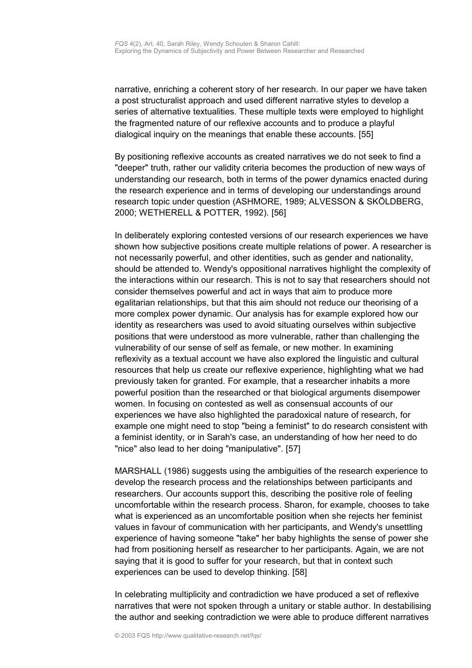narrative, enriching a coherent story of her research. In our paper we have taken a post structuralist approach and used different narrative styles to develop a series of alternative textualities. These multiple texts were employed to highlight the fragmented nature of our reflexive accounts and to produce a playful dialogical inquiry on the meanings that enable these accounts. [55]

By positioning reflexive accounts as created narratives we do not seek to find a "deeper" truth, rather our validity criteria becomes the production of new ways of understanding our research, both in terms of the power dynamics enacted during the research experience and in terms of developing our understandings around research topic under question (ASHMORE, 1989; ALVESSON & SKÖLDBERG, 2000; WETHERELL & POTTER, 1992). [56]

In deliberately exploring contested versions of our research experiences we have shown how subjective positions create multiple relations of power. A researcher is not necessarily powerful, and other identities, such as gender and nationality, should be attended to. Wendy's oppositional narratives highlight the complexity of the interactions within our research. This is not to say that researchers should not consider themselves powerful and act in ways that aim to produce more egalitarian relationships, but that this aim should not reduce our theorising of a more complex power dynamic. Our analysis has for example explored how our identity as researchers was used to avoid situating ourselves within subjective positions that were understood as more vulnerable, rather than challenging the vulnerability of our sense of self as female, or new mother. In examining reflexivity as a textual account we have also explored the linguistic and cultural resources that help us create our reflexive experience, highlighting what we had previously taken for granted. For example, that a researcher inhabits a more powerful position than the researched or that biological arguments disempower women. In focusing on contested as well as consensual accounts of our experiences we have also highlighted the paradoxical nature of research, for example one might need to stop "being a feminist" to do research consistent with a feminist identity, or in Sarah's case, an understanding of how her need to do "nice" also lead to her doing "manipulative". [57]

MARSHALL (1986) suggests using the ambiguities of the research experience to develop the research process and the relationships between participants and researchers. Our accounts support this, describing the positive role of feeling uncomfortable within the research process. Sharon, for example, chooses to take what is experienced as an uncomfortable position when she rejects her feminist values in favour of communication with her participants, and Wendy's unsettling experience of having someone "take" her baby highlights the sense of power she had from positioning herself as researcher to her participants. Again, we are not saying that it is good to suffer for your research, but that in context such experiences can be used to develop thinking. [58]

In celebrating multiplicity and contradiction we have produced a set of reflexive narratives that were not spoken through a unitary or stable author. In destabilising the author and seeking contradiction we were able to produce different narratives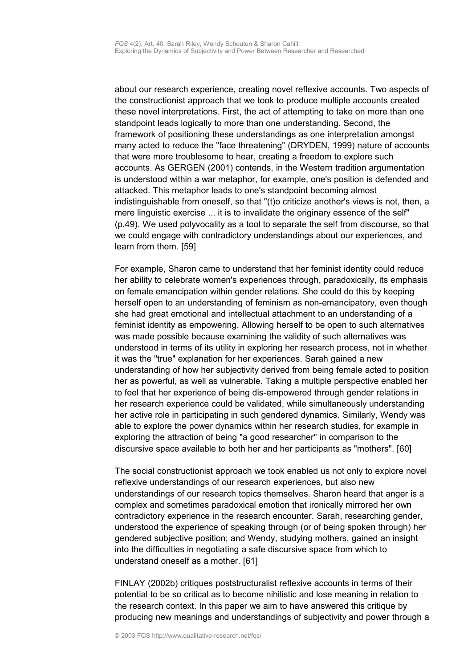about our research experience, creating novel reflexive accounts. Two aspects of the constructionist approach that we took to produce multiple accounts created these novel interpretations. First, the act of attempting to take on more than one standpoint leads logically to more than one understanding. Second, the framework of positioning these understandings as one interpretation amongst many acted to reduce the "face threatening" (DRYDEN, 1999) nature of accounts that were more troublesome to hear, creating a freedom to explore such accounts. As GERGEN (2001) contends, in the Western tradition argumentation is understood within a war metaphor, for example, one's position is defended and attacked. This metaphor leads to one's standpoint becoming almost indistinguishable from oneself, so that "(t)o criticize another's views is not, then, a mere linguistic exercise ... it is to invalidate the originary essence of the self" (p.49). We used polyvocality as a tool to separate the self from discourse, so that we could engage with contradictory understandings about our experiences, and learn from them. [59]

For example, Sharon came to understand that her feminist identity could reduce her ability to celebrate women's experiences through, paradoxically, its emphasis on female emancipation within gender relations. She could do this by keeping herself open to an understanding of feminism as non-emancipatory, even though she had great emotional and intellectual attachment to an understanding of a feminist identity as empowering. Allowing herself to be open to such alternatives was made possible because examining the validity of such alternatives was understood in terms of its utility in exploring her research process, not in whether it was the "true" explanation for her experiences. Sarah gained a new understanding of how her subjectivity derived from being female acted to position her as powerful, as well as vulnerable. Taking a multiple perspective enabled her to feel that her experience of being dis-empowered through gender relations in her research experience could be validated, while simultaneously understanding her active role in participating in such gendered dynamics. Similarly, Wendy was able to explore the power dynamics within her research studies, for example in exploring the attraction of being "a good researcher" in comparison to the discursive space available to both her and her participants as "mothers". [60]

The social constructionist approach we took enabled us not only to explore novel reflexive understandings of our research experiences, but also new understandings of our research topics themselves. Sharon heard that anger is a complex and sometimes paradoxical emotion that ironically mirrored her own contradictory experience in the research encounter. Sarah, researching gender, understood the experience of speaking through (or of being spoken through) her gendered subjective position; and Wendy, studying mothers, gained an insight into the difficulties in negotiating a safe discursive space from which to understand oneself as a mother. [61]

FINLAY (2002b) critiques poststructuralist reflexive accounts in terms of their potential to be so critical as to become nihilistic and lose meaning in relation to the research context. In this paper we aim to have answered this critique by producing new meanings and understandings of subjectivity and power through a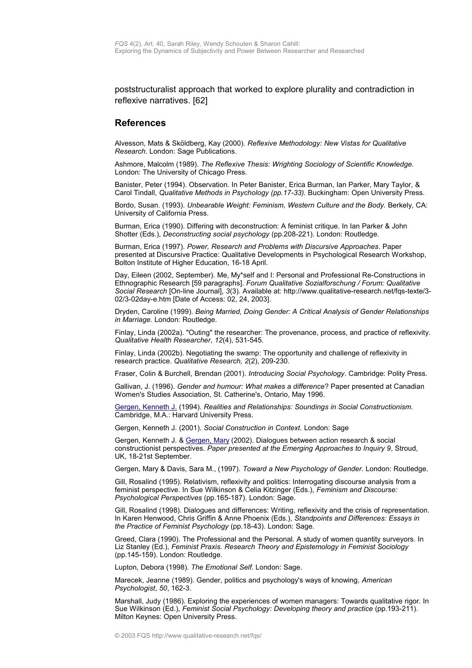poststructuralist approach that worked to explore plurality and contradiction in reflexive narratives. [62]

#### <span id="page-17-0"></span>**References**

Alvesson, Mats & Sköldberg, Kay (2000). *Reflexive Methodology: New Vistas for Qualitative Research*. London: Sage Publications.

Ashmore, Malcolm (1989). *The Reflexive Thesis: Wrighting Sociology of Scientific Knowledge.* London: The University of Chicago Press.

Banister, Peter (1994). Observation. In Peter Banister, Erica Burman, Ian Parker, Mary Taylor, & Carol Tindall, *Qualitative Methods in Psychology (pp.17-33).* Buckingham: Open University Press.

Bordo, Susan. (1993). *Unbearable Weight: Feminism, Western Culture and the Body. Berkely, CA:* University of California Press.

Burman, Erica (1990). Differing with deconstruction: A feminist critique. In Ian Parker & John Shotter (Eds.), *Deconstructing social psychology* (pp.208-221). London: Routledge.

Burman, Erica (1997). *Power, Research and Problems with Discursive Approaches*. Paper presented at Discursive Practice: Qualitative Developments in Psychological Research Workshop, Bolton Institute of Higher Education, 16-18 April.

Day, Eileen (2002, September). Me, My\*self and I: Personal and Professional Re-Constructions in Ethnographic Research [59 paragraphs]. *Forum Qualitative Sozialforschung / Forum: Qualitative Social Research* [On-line Journal], *3*(3). Available at: http://www.qualitative-research.net/fqs-texte/3- 02/3-02day-e.htm [Date of Access: 02, 24, 2003].

Dryden, Caroline (1999). *Being Married, Doing Gender: A Critical Analysis of Gender Relationships in Marriage.* London: Routledge.

Finlay, Linda (2002a). "Outing" the researcher: The provenance, process, and practice of reflexivity. *Qualitative Health Researcher*, *12*(4), 531-545.

Finlay, Linda (2002b). Negotiating the swamp: The opportunity and challenge of reflexivity in research practice. *Qualitative Research, 2*(2), 209-230.

Fraser, Colin & Burchell, Brendan (2001). *Introducing Social Psychology*. Cambridge: Polity Press.

Gallivan, J. (1996). *Gender and humour: What makes a difference*? Paper presented at Canadian Women's Studies Association, St. Catherine's, Ontario, May 1996.

[Gergen, Kenneth J.](http://www.qualitative-research.net/fqs/beirat/gergen-ken-e.htm) (1994). *Realities and Relationships: Soundings in Social Constructionism.* Cambridge, M.A.: Harvard University Press.

Gergen, Kenneth J. (2001). *Social Construction in Context.* London: Sage

Gergen, Kenneth J. & [Gergen, Mary](http://www.qualitative-research.net/fqs/beirat/gergen-mary-e.htm) (2002). Dialogues between action research & social constructionist perspectives. *Paper presented at the Emerging Approaches to Inquiry 9*, Stroud, UK, 18-21st September.

Gergen, Mary & Davis, Sara M., (1997). *Toward a New Psychology of Gender*. London: Routledge.

Gill, Rosalind (1995). Relativism, reflexivity and politics: Interrogating discourse analysis from a feminist perspective. In Sue Wilkinson & Celia Kitzinger (Eds.), *Feminism and Discourse: Psychological Perspectives* (pp.165-187). London: Sage.

Gill, Rosalind (1998). Dialogues and differences: Writing, reflexivity and the crisis of representation. In Karen Henwood, Chris Griffin & Anne Phoenix (Eds.), *Standpoints and Differences: Essays in the Practice of Feminist Psychology* (pp.18-43). London: Sage.

Greed, Clara (1990). The Professional and the Personal. A study of women quantity surveyors. In Liz Stanley (Ed.), *Feminist Praxis. Research Theory and Epistemology in Feminist Sociology* (pp.145-159). London: Routledge.

Lupton, Debora (1998). *The Emotional Self*. London: Sage.

Marecek, Jeanne (1989). Gender, politics and psychology's ways of knowing, *American Psychologist*, *50*, 162-3.

Marshall, Judy (1986). Exploring the experiences of women managers: Towards qualitative rigor. In Sue Wilkinson (Ed.), *Feminist Social Psychology: Developing theory and practice* (pp.193-211). Milton Keynes: Open University Press.